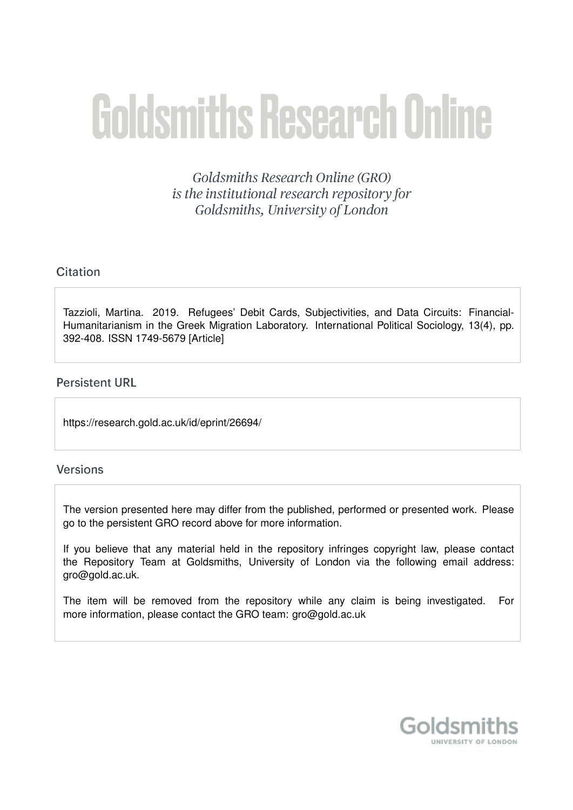# **Goldsmiths Research Online**

Goldsmiths Research Online (GRO) is the institutional research repository for Goldsmiths, University of London

# Citation

Tazzioli, Martina. 2019. Refugees' Debit Cards, Subjectivities, and Data Circuits: Financial-Humanitarianism in the Greek Migration Laboratory. International Political Sociology, 13(4), pp. 392-408. ISSN 1749-5679 [Article]

# **Persistent URL**

https://research.gold.ac.uk/id/eprint/26694/

## **Versions**

The version presented here may differ from the published, performed or presented work. Please go to the persistent GRO record above for more information.

If you believe that any material held in the repository infringes copyright law, please contact the Repository Team at Goldsmiths, University of London via the following email address: gro@gold.ac.uk.

The item will be removed from the repository while any claim is being investigated. For more information, please contact the GRO team: gro@gold.ac.uk

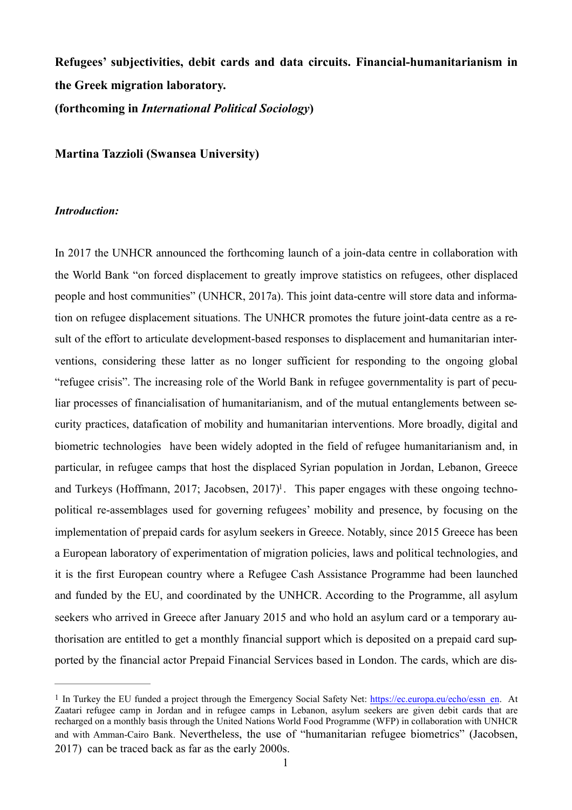**Refugees' subjectivities, debit cards and data circuits. Financial-humanitarianism in the Greek migration laboratory. (forthcoming in** *International Political Sociology***)** 

**Martina Tazzioli (Swansea University)** 

#### *Introduction:*

In 2017 the UNHCR announced the forthcoming launch of a join-data centre in collaboration with the World Bank "on forced displacement to greatly improve statistics on refugees, other displaced people and host communities" (UNHCR, 2017a). This joint data-centre will store data and information on refugee displacement situations. The UNHCR promotes the future joint-data centre as a result of the effort to articulate development-based responses to displacement and humanitarian interventions, considering these latter as no longer sufficient for responding to the ongoing global "refugee crisis". The increasing role of the World Bank in refugee governmentality is part of peculiar processes of financialisation of humanitarianism, and of the mutual entanglements between security practices, datafication of mobility and humanitarian interventions. More broadly, digital and biometric technologies have been widely adopted in the field of refugee humanitarianism and, in particular, in refugee camps that host the displaced Syrian population in Jordan, Lebanon, Greece and Turkeys (Hoffmann, 20[1](#page-1-0)7; Jacobsen, 2017)<sup>1</sup>. This paper engages with these ongoing technopolitical re-assemblages used for governing refugees' mobility and presence, by focusing on the implementation of prepaid cards for asylum seekers in Greece. Notably, since 2015 Greece has been a European laboratory of experimentation of migration policies, laws and political technologies, and it is the first European country where a Refugee Cash Assistance Programme had been launched and funded by the EU, and coordinated by the UNHCR. According to the Programme, all asylum seekers who arrived in Greece after January 2015 and who hold an asylum card or a temporary authorisation are entitled to get a monthly financial support which is deposited on a prepaid card supported by the financial actor Prepaid Financial Services based in London. The cards, which are dis-

<span id="page-1-1"></span><span id="page-1-0"></span><sup>&</sup>lt;sup>[1](#page-1-1)</sup> In Turkey the EU funded a project through the Emergency Social Safety Net: [https://ec.europa.eu/echo/essn\\_en](https://ec.europa.eu/echo/essn_en). At Zaatari refugee camp in Jordan and in refugee camps in Lebanon, asylum seekers are given debit cards that are recharged on a monthly basis through the United Nations World Food Programme (WFP) in collaboration with UNHCR and with Amman-Cairo Bank. Nevertheless, the use of "humanitarian refugee biometrics" (Jacobsen, 2017) can be traced back as far as the early 2000s.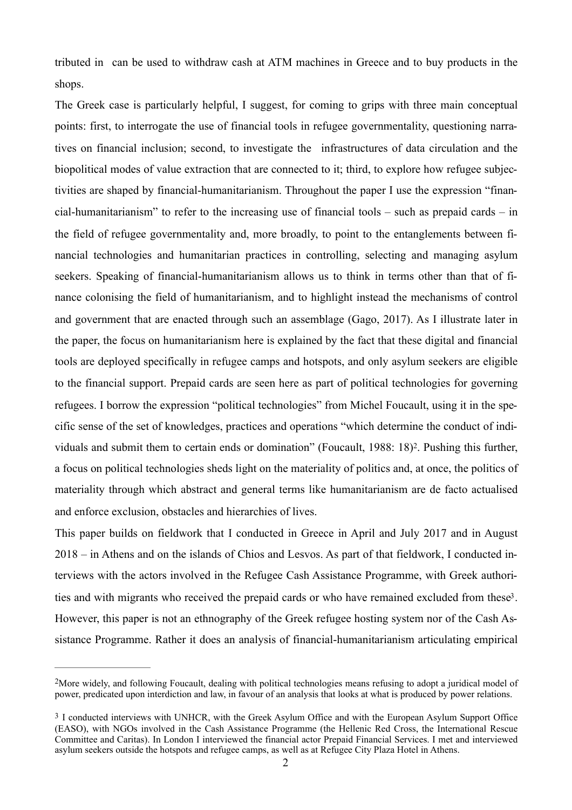tributed in can be used to withdraw cash at ATM machines in Greece and to buy products in the shops.

The Greek case is particularly helpful, I suggest, for coming to grips with three main conceptual points: first, to interrogate the use of financial tools in refugee governmentality, questioning narratives on financial inclusion; second, to investigate the infrastructures of data circulation and the biopolitical modes of value extraction that are connected to it; third, to explore how refugee subjectivities are shaped by financial-humanitarianism. Throughout the paper I use the expression "financial-humanitarianism" to refer to the increasing use of financial tools – such as prepaid cards – in the field of refugee governmentality and, more broadly, to point to the entanglements between financial technologies and humanitarian practices in controlling, selecting and managing asylum seekers. Speaking of financial-humanitarianism allows us to think in terms other than that of finance colonising the field of humanitarianism, and to highlight instead the mechanisms of control and government that are enacted through such an assemblage (Gago, 2017). As I illustrate later in the paper, the focus on humanitarianism here is explained by the fact that these digital and financial tools are deployed specifically in refugee camps and hotspots, and only asylum seekers are eligible to the financial support. Prepaid cards are seen here as part of political technologies for governing refugees. I borrow the expression "political technologies" from Michel Foucault, using it in the specific sense of the set of knowledges, practices and operations "which determine the conduct of indi-viduals and submit them to certain ends or domination" (Foucault, 1988: 18)<sup>[2](#page-2-0)</sup>. Pushing this further, a focus on political technologies sheds light on the materiality of politics and, at once, the politics of materiality through which abstract and general terms like humanitarianism are de facto actualised and enforce exclusion, obstacles and hierarchies of lives.

<span id="page-2-3"></span><span id="page-2-2"></span>This paper builds on fieldwork that I conducted in Greece in April and July 2017 and in August 2018 – in Athens and on the islands of Chios and Lesvos. As part of that fieldwork, I conducted interviews with the actors involved in the Refugee Cash Assistance Programme, with Greek authori-ties and with migrants who received the prepaid cards or who have remained excluded from these<sup>[3](#page-2-1)</sup>. However, this paper is not an ethnography of the Greek refugee hosting system nor of the Cash Assistance Programme. Rather it does an analysis of financial-humanitarianism articulating empirical

<span id="page-2-0"></span><sup>&</sup>lt;sup>[2](#page-2-2)</sup>More widely, and following Foucault, dealing with political technologies means refusing to adopt a juridical model of power, predicated upon interdiction and law, in favour of an analysis that looks at what is produced by power relations.

<span id="page-2-1"></span>[<sup>3</sup>](#page-2-3) I conducted interviews with UNHCR, with the Greek Asylum Office and with the European Asylum Support Office (EASO), with NGOs involved in the Cash Assistance Programme (the Hellenic Red Cross, the International Rescue Committee and Caritas). In London I interviewed the financial actor Prepaid Financial Services. I met and interviewed asylum seekers outside the hotspots and refugee camps, as well as at Refugee City Plaza Hotel in Athens.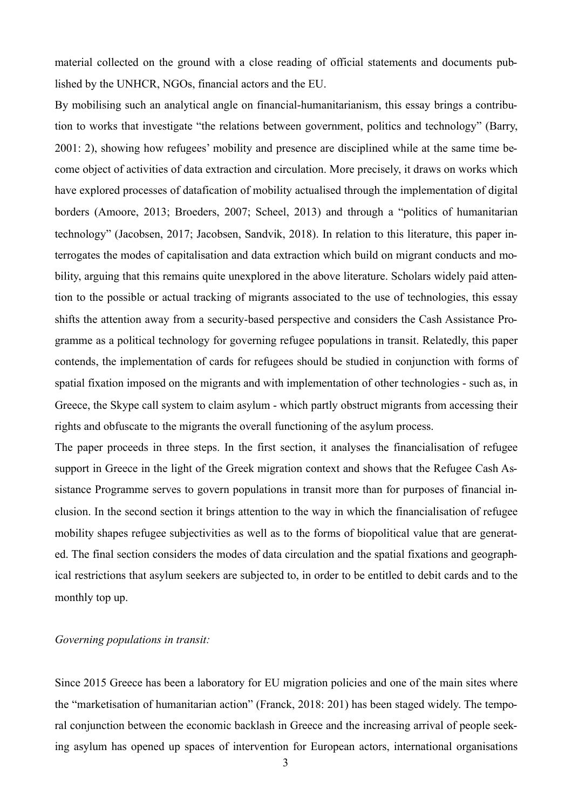material collected on the ground with a close reading of official statements and documents published by the UNHCR, NGOs, financial actors and the EU.

By mobilising such an analytical angle on financial-humanitarianism, this essay brings a contribution to works that investigate "the relations between government, politics and technology" (Barry, 2001: 2), showing how refugees' mobility and presence are disciplined while at the same time become object of activities of data extraction and circulation. More precisely, it draws on works which have explored processes of datafication of mobility actualised through the implementation of digital borders (Amoore, 2013; Broeders, 2007; Scheel, 2013) and through a "politics of humanitarian technology" (Jacobsen, 2017; Jacobsen, Sandvik, 2018). In relation to this literature, this paper interrogates the modes of capitalisation and data extraction which build on migrant conducts and mobility, arguing that this remains quite unexplored in the above literature. Scholars widely paid attention to the possible or actual tracking of migrants associated to the use of technologies, this essay shifts the attention away from a security-based perspective and considers the Cash Assistance Programme as a political technology for governing refugee populations in transit. Relatedly, this paper contends, the implementation of cards for refugees should be studied in conjunction with forms of spatial fixation imposed on the migrants and with implementation of other technologies - such as, in Greece, the Skype call system to claim asylum - which partly obstruct migrants from accessing their rights and obfuscate to the migrants the overall functioning of the asylum process.

The paper proceeds in three steps. In the first section, it analyses the financialisation of refugee support in Greece in the light of the Greek migration context and shows that the Refugee Cash Assistance Programme serves to govern populations in transit more than for purposes of financial inclusion. In the second section it brings attention to the way in which the financialisation of refugee mobility shapes refugee subjectivities as well as to the forms of biopolitical value that are generated. The final section considers the modes of data circulation and the spatial fixations and geographical restrictions that asylum seekers are subjected to, in order to be entitled to debit cards and to the monthly top up.

### *Governing populations in transit:*

Since 2015 Greece has been a laboratory for EU migration policies and one of the main sites where the "marketisation of humanitarian action" (Franck, 2018: 201) has been staged widely. The temporal conjunction between the economic backlash in Greece and the increasing arrival of people seeking asylum has opened up spaces of intervention for European actors, international organisations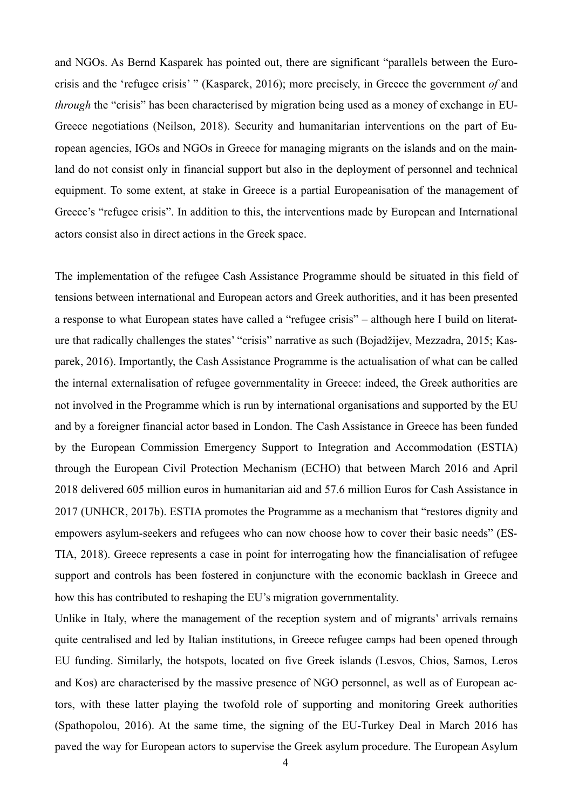and NGOs. As Bernd Kasparek has pointed out, there are significant "parallels between the Eurocrisis and the 'refugee crisis' " (Kasparek, 2016); more precisely, in Greece the government *of* and *through* the "crisis" has been characterised by migration being used as a money of exchange in EU-Greece negotiations (Neilson, 2018). Security and humanitarian interventions on the part of European agencies, IGOs and NGOs in Greece for managing migrants on the islands and on the mainland do not consist only in financial support but also in the deployment of personnel and technical equipment. To some extent, at stake in Greece is a partial Europeanisation of the management of Greece's "refugee crisis". In addition to this, the interventions made by European and International actors consist also in direct actions in the Greek space.

The implementation of the refugee Cash Assistance Programme should be situated in this field of tensions between international and European actors and Greek authorities, and it has been presented a response to what European states have called a "refugee crisis" – although here I build on literature that radically challenges the states' "crisis" narrative as such (Bojadžijev, Mezzadra, 2015; Kasparek, 2016). Importantly, the Cash Assistance Programme is the actualisation of what can be called the internal externalisation of refugee governmentality in Greece: indeed, the Greek authorities are not involved in the Programme which is run by international organisations and supported by the EU and by a foreigner financial actor based in London. The Cash Assistance in Greece has been funded by the European Commission Emergency Support to Integration and Accommodation (ESTIA) through the European Civil Protection Mechanism (ECHO) that between March 2016 and April 2018 delivered 605 million euros in humanitarian aid and 57.6 million Euros for Cash Assistance in 2017 (UNHCR, 2017b). ESTIA promotes the Programme as a mechanism that "restores dignity and empowers asylum-seekers and refugees who can now choose how to cover their basic needs" (ES-TIA, 2018). Greece represents a case in point for interrogating how the financialisation of refugee support and controls has been fostered in conjuncture with the economic backlash in Greece and how this has contributed to reshaping the EU's migration governmentality.

Unlike in Italy, where the management of the reception system and of migrants' arrivals remains quite centralised and led by Italian institutions, in Greece refugee camps had been opened through EU funding. Similarly, the hotspots, located on five Greek islands (Lesvos, Chios, Samos, Leros and Kos) are characterised by the massive presence of NGO personnel, as well as of European actors, with these latter playing the twofold role of supporting and monitoring Greek authorities (Spathopolou, 2016). At the same time, the signing of the EU-Turkey Deal in March 2016 has paved the way for European actors to supervise the Greek asylum procedure. The European Asylum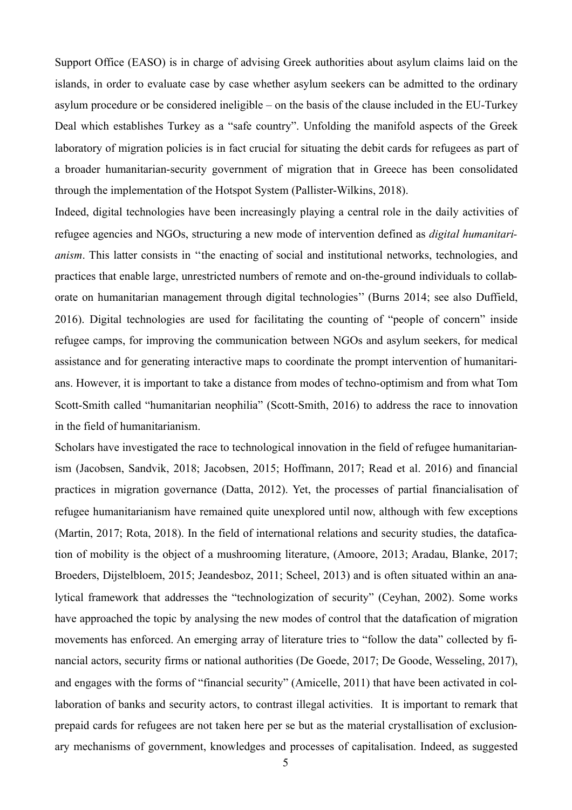Support Office (EASO) is in charge of advising Greek authorities about asylum claims laid on the islands, in order to evaluate case by case whether asylum seekers can be admitted to the ordinary asylum procedure or be considered ineligible – on the basis of the clause included in the EU-Turkey Deal which establishes Turkey as a "safe country". Unfolding the manifold aspects of the Greek laboratory of migration policies is in fact crucial for situating the debit cards for refugees as part of a broader humanitarian-security government of migration that in Greece has been consolidated through the implementation of the Hotspot System (Pallister-Wilkins, 2018).

Indeed, digital technologies have been increasingly playing a central role in the daily activities of refugee agencies and NGOs, structuring a new mode of intervention defined as *digital humanitarianism*. This latter consists in "the enacting of social and institutional networks, technologies, and practices that enable large, unrestricted numbers of remote and on-the-ground individuals to collaborate on humanitarian management through digital technologies'' (Burns 2014; see also Duffield, 2016). Digital technologies are used for facilitating the counting of "people of concern" inside refugee camps, for improving the communication between NGOs and asylum seekers, for medical assistance and for generating interactive maps to coordinate the prompt intervention of humanitarians. However, it is important to take a distance from modes of techno-optimism and from what Tom Scott-Smith called "humanitarian neophilia" (Scott-Smith, 2016) to address the race to innovation in the field of humanitarianism.

Scholars have investigated the race to technological innovation in the field of refugee humanitarianism (Jacobsen, Sandvik, 2018; Jacobsen, 2015; Hoffmann, 2017; Read et al. 2016) and financial practices in migration governance (Datta, 2012). Yet, the processes of partial financialisation of refugee humanitarianism have remained quite unexplored until now, although with few exceptions (Martin, 2017; Rota, 2018). In the field of international relations and security studies, the datafication of mobility is the object of a mushrooming literature, (Amoore, 2013; Aradau, Blanke, 2017; Broeders, Dijstelbloem, 2015; Jeandesboz, 2011; Scheel, 2013) and is often situated within an analytical framework that addresses the "technologization of security" (Ceyhan, 2002). Some works have approached the topic by analysing the new modes of control that the datafication of migration movements has enforced. An emerging array of literature tries to "follow the data" collected by financial actors, security firms or national authorities (De Goede, 2017; De Goode, Wesseling, 2017), and engages with the forms of "financial security" (Amicelle, 2011) that have been activated in collaboration of banks and security actors, to contrast illegal activities. It is important to remark that prepaid cards for refugees are not taken here per se but as the material crystallisation of exclusionary mechanisms of government, knowledges and processes of capitalisation. Indeed, as suggested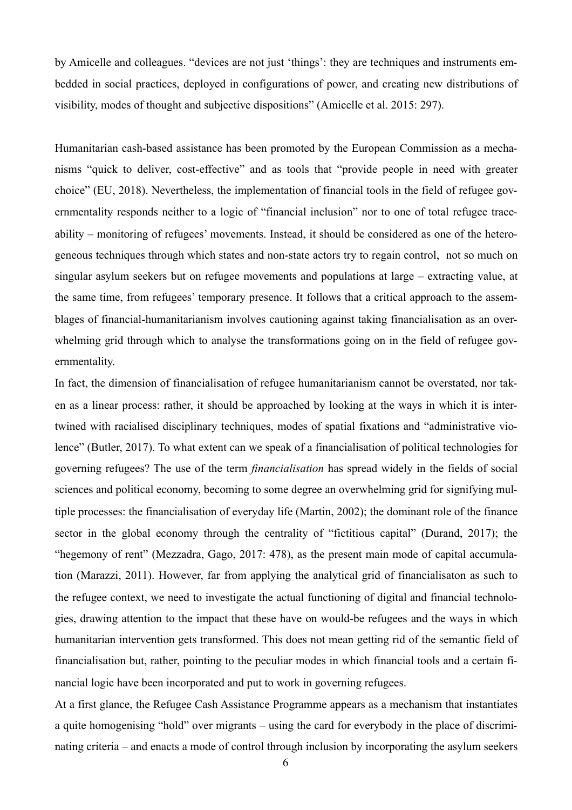by Amicelle and colleagues. "devices are not just 'things': they are techniques and instruments embedded in social practices, deployed in configurations of power, and creating new distributions of visibility, modes of thought and subjective dispositions" (Amicelle et al. 2015: 297).

Humanitarian cash-based assistance has been promoted by the European Commission as a mechanisms "quick to deliver, cost-effective" and as tools that "provide people in need with greater choice" (EU, 2018). Nevertheless, the implementation of financial tools in the field of refugee governmentality responds neither to a logic of "financial inclusion" nor to one of total refugee traceability – monitoring of refugees' movements. Instead, it should be considered as one of the heterogeneous techniques through which states and non-state actors try to regain control, not so much on singular asylum seekers but on refugee movements and populations at large – extracting value, at the same time, from refugees' temporary presence. It follows that a critical approach to the assemblages of financial-humanitarianism involves cautioning against taking financialisation as an overwhelming grid through which to analyse the transformations going on in the field of refugee governmentality.

In fact, the dimension of financialisation of refugee humanitarianism cannot be overstated, nor taken as a linear process: rather, it should be approached by looking at the ways in which it is intertwined with racialised disciplinary techniques, modes of spatial fixations and "administrative violence" (Butler, 2017). To what extent can we speak of a financialisation of political technologies for governing refugees? The use of the term *financialisation* has spread widely in the fields of social sciences and political economy, becoming to some degree an overwhelming grid for signifying multiple processes: the financialisation of everyday life (Martin, 2002); the dominant role of the finance sector in the global economy through the centrality of "fictitious capital" (Durand, 2017); the "hegemony of rent" (Mezzadra, Gago, 2017: 478), as the present main mode of capital accumulation (Marazzi, 2011). However, far from applying the analytical grid of financialisaton as such to the refugee context, we need to investigate the actual functioning of digital and financial technologies, drawing attention to the impact that these have on would-be refugees and the ways in which humanitarian intervention gets transformed. This does not mean getting rid of the semantic field of financialisation but, rather, pointing to the peculiar modes in which financial tools and a certain financial logic have been incorporated and put to work in governing refugees.

At a first glance, the Refugee Cash Assistance Programme appears as a mechanism that instantiates a quite homogenising "hold" over migrants – using the card for everybody in the place of discriminating criteria – and enacts a mode of control through inclusion by incorporating the asylum seekers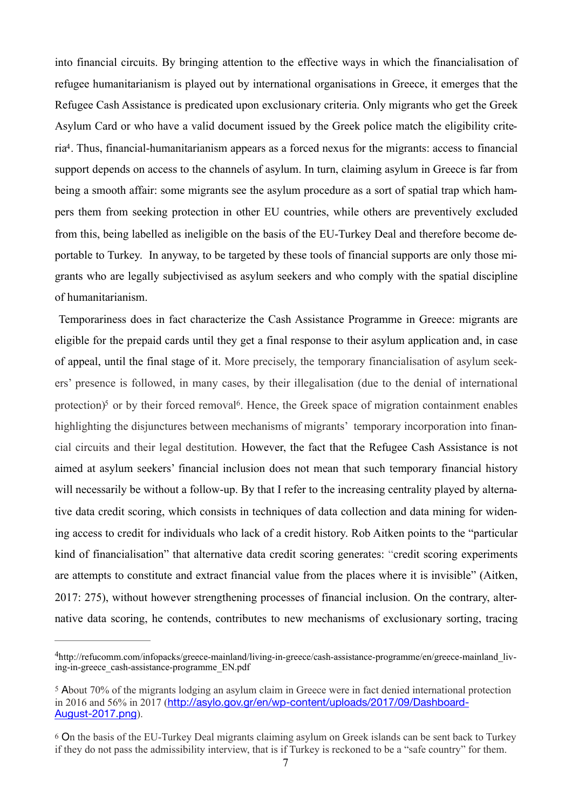<span id="page-7-3"></span>into financial circuits. By bringing attention to the effective ways in which the financialisation of refugee humanitarianism is played out by international organisations in Greece, it emerges that the Refugee Cash Assistance is predicated upon exclusionary criteria. Only migrants who get the Greek Asylum Card or who have a valid document issued by the Greek police match the eligibility crite-ria<sup>[4](#page-7-0)</sup>. Thus, financial-humanitarianism appears as a forced nexus for the migrants: access to financial support depends on access to the channels of asylum. In turn, claiming asylum in Greece is far from being a smooth affair: some migrants see the asylum procedure as a sort of spatial trap which hampers them from seeking protection in other EU countries, while others are preventively excluded from this, being labelled as ineligible on the basis of the EU-Turkey Deal and therefore become deportable to Turkey. In anyway, to be targeted by these tools of financial supports are only those migrants who are legally subjectivised as asylum seekers and who comply with the spatial discipline of humanitarianism.

<span id="page-7-5"></span><span id="page-7-4"></span> Temporariness does in fact characterize the Cash Assistance Programme in Greece: migrants are eligible for the prepaid cards until they get a final response to their asylum application and, in case of appeal, until the final stage of it. More precisely, the temporary financialisation of asylum seekers' presence is followed, in many cases, by their illegalisation (due to the denial of international protection[\)](#page-7-1)<sup>5</sup> or by their forced removal<sup>6</sup>[.](#page-7-2) Hence, the Greek space of migration containment enables highlighting the disjunctures between mechanisms of migrants' temporary incorporation into financial circuits and their legal destitution. However, the fact that the Refugee Cash Assistance is not aimed at asylum seekers' financial inclusion does not mean that such temporary financial history will necessarily be without a follow-up. By that I refer to the increasing centrality played by alternative data credit scoring, which consists in techniques of data collection and data mining for widening access to credit for individuals who lack of a credit history. Rob Aitken points to the "particular kind of financialisation" that alternative data credit scoring generates: "credit scoring experiments are attempts to constitute and extract financial value from the places where it is invisible" (Aitken, 2017: 275), without however strengthening processes of financial inclusion. On the contrary, alternative data scoring, he contends, contributes to new mechanisms of exclusionary sorting, tracing

<span id="page-7-0"></span>http://refucomm.com/infopacks/greece-mainland/living-in-greece/cash-assistance-programme/en/greece-mainland\_liv [4](#page-7-3) ing-in-greece\_cash-assistance-programme\_EN.pdf

<span id="page-7-1"></span>[<sup>5</sup>](#page-7-4) About 70% of the migrants lodging an asylum claim in Greece were in fact denied international protection in 2016 and 56% in 2017 ([http://asylo.gov.gr/en/wp-content/uploads/2017/09/Dashboard-](http://asylo.gov.gr/en/wp-content/uploads/2017/09/Dashboard-August-2017.png)[August-2017.png](http://asylo.gov.gr/en/wp-content/uploads/2017/09/Dashboard-August-2017.png)).

<span id="page-7-2"></span>[<sup>6</sup>](#page-7-5) On the basis of the EU-Turkey Deal migrants claiming asylum on Greek islands can be sent back to Turkey if they do not pass the admissibility interview, that is if Turkey is reckoned to be a "safe country" for them.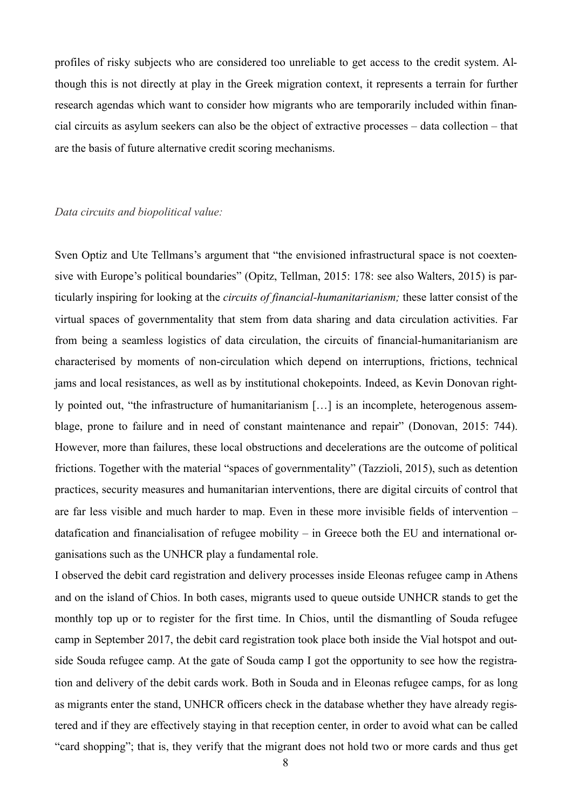profiles of risky subjects who are considered too unreliable to get access to the credit system. Although this is not directly at play in the Greek migration context, it represents a terrain for further research agendas which want to consider how migrants who are temporarily included within financial circuits as asylum seekers can also be the object of extractive processes – data collection – that are the basis of future alternative credit scoring mechanisms.

#### *Data circuits and biopolitical value:*

Sven Optiz and Ute Tellmans's argument that "the envisioned infrastructural space is not coextensive with Europe's political boundaries" (Opitz, Tellman, 2015: 178: see also Walters, 2015) is particularly inspiring for looking at the *circuits of financial-humanitarianism;* these latter consist of the virtual spaces of governmentality that stem from data sharing and data circulation activities. Far from being a seamless logistics of data circulation, the circuits of financial-humanitarianism are characterised by moments of non-circulation which depend on interruptions, frictions, technical jams and local resistances, as well as by institutional chokepoints. Indeed, as Kevin Donovan rightly pointed out, "the infrastructure of humanitarianism […] is an incomplete, heterogenous assemblage, prone to failure and in need of constant maintenance and repair" (Donovan, 2015: 744). However, more than failures, these local obstructions and decelerations are the outcome of political frictions. Together with the material "spaces of governmentality" (Tazzioli, 2015), such as detention practices, security measures and humanitarian interventions, there are digital circuits of control that are far less visible and much harder to map. Even in these more invisible fields of intervention – datafication and financialisation of refugee mobility – in Greece both the EU and international organisations such as the UNHCR play a fundamental role.

I observed the debit card registration and delivery processes inside Eleonas refugee camp in Athens and on the island of Chios. In both cases, migrants used to queue outside UNHCR stands to get the monthly top up or to register for the first time. In Chios, until the dismantling of Souda refugee camp in September 2017, the debit card registration took place both inside the Vial hotspot and outside Souda refugee camp. At the gate of Souda camp I got the opportunity to see how the registration and delivery of the debit cards work. Both in Souda and in Eleonas refugee camps, for as long as migrants enter the stand, UNHCR officers check in the database whether they have already registered and if they are effectively staying in that reception center, in order to avoid what can be called "card shopping"; that is, they verify that the migrant does not hold two or more cards and thus get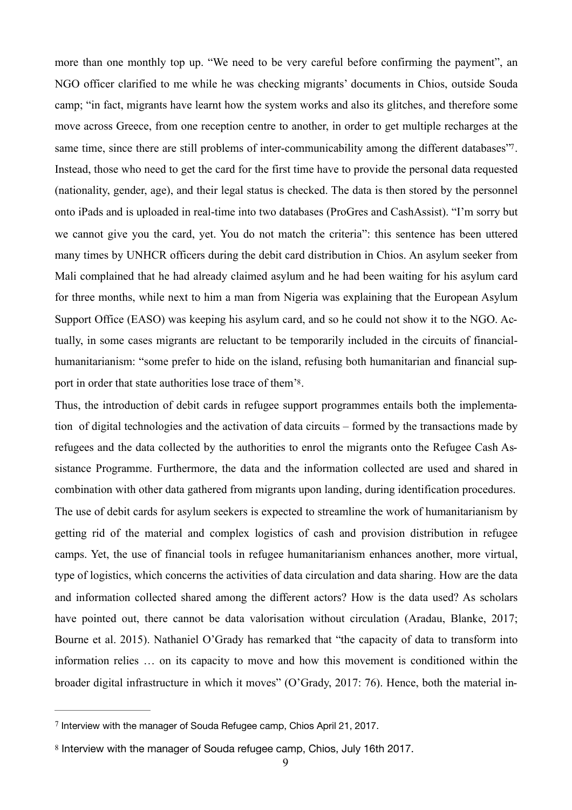<span id="page-9-2"></span>more than one monthly top up. "We need to be very careful before confirming the payment", an NGO officer clarified to me while he was checking migrants' documents in Chios, outside Souda camp; "in fact, migrants have learnt how the system works and also its glitches, and therefore some move across Greece, from one reception centre to another, in order to get multiple recharges at the same time, since there are still problems of inter-communicability among the different databases<sup>[7](#page-9-0)7</sup>. Instead, those who need to get the card for the first time have to provide the personal data requested (nationality, gender, age), and their legal status is checked. The data is then stored by the personnel onto iPads and is uploaded in real-time into two databases (ProGres and CashAssist). "I'm sorry but we cannot give you the card, yet. You do not match the criteria": this sentence has been uttered many times by UNHCR officers during the debit card distribution in Chios. An asylum seeker from Mali complained that he had already claimed asylum and he had been waiting for his asylum card for three months, while next to him a man from Nigeria was explaining that the European Asylum Support Office (EASO) was keeping his asylum card, and so he could not show it to the NGO. Actually, in some cases migrants are reluctant to be temporarily included in the circuits of financialhumanitarianism: "some prefer to hide on the island, refusing both humanitarian and financial support in order that state authorities lose trace of them['8](#page-9-1).

<span id="page-9-3"></span>Thus, the introduction of debit cards in refugee support programmes entails both the implementation of digital technologies and the activation of data circuits – formed by the transactions made by refugees and the data collected by the authorities to enrol the migrants onto the Refugee Cash Assistance Programme. Furthermore, the data and the information collected are used and shared in combination with other data gathered from migrants upon landing, during identification procedures. The use of debit cards for asylum seekers is expected to streamline the work of humanitarianism by getting rid of the material and complex logistics of cash and provision distribution in refugee camps. Yet, the use of financial tools in refugee humanitarianism enhances another, more virtual, type of logistics, which concerns the activities of data circulation and data sharing. How are the data and information collected shared among the different actors? How is the data used? As scholars have pointed out, there cannot be data valorisation without circulation (Aradau, Blanke, 2017; Bourne et al. 2015). Nathaniel O'Grady has remarked that "the capacity of data to transform into information relies … on its capacity to move and how this movement is conditioned within the broader digital infrastructure in which it moves" (O'Grady, 2017: 76). Hence, both the material in-

<span id="page-9-0"></span> $\frac{7}{7}$  $\frac{7}{7}$  $\frac{7}{7}$  Interview with the manager of Souda Refugee camp, Chios April 21, 2017.

<span id="page-9-1"></span>[<sup>8</sup>](#page-9-3) Interview with the manager of Souda refugee camp, Chios, July 16th 2017.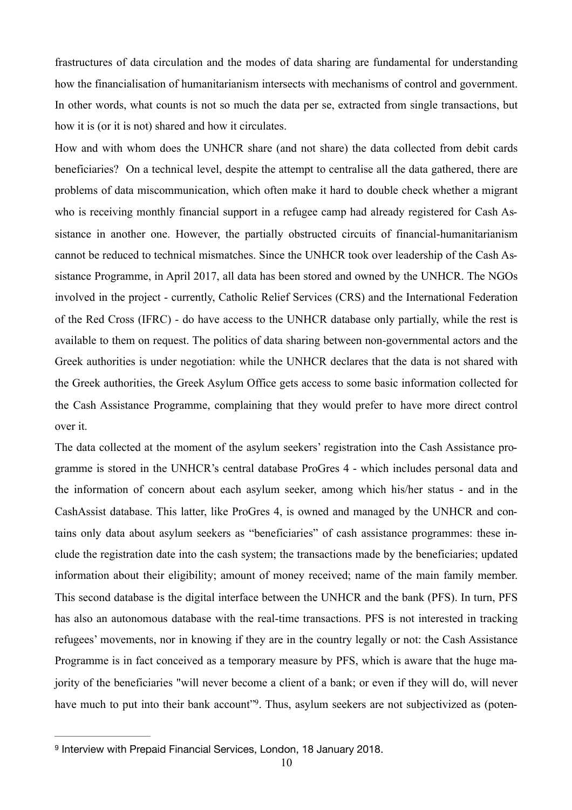frastructures of data circulation and the modes of data sharing are fundamental for understanding how the financialisation of humanitarianism intersects with mechanisms of control and government. In other words, what counts is not so much the data per se, extracted from single transactions, but how it is (or it is not) shared and how it circulates.

How and with whom does the UNHCR share (and not share) the data collected from debit cards beneficiaries? On a technical level, despite the attempt to centralise all the data gathered, there are problems of data miscommunication, which often make it hard to double check whether a migrant who is receiving monthly financial support in a refugee camp had already registered for Cash Assistance in another one. However, the partially obstructed circuits of financial-humanitarianism cannot be reduced to technical mismatches. Since the UNHCR took over leadership of the Cash Assistance Programme, in April 2017, all data has been stored and owned by the UNHCR. The NGOs involved in the project - currently, Catholic Relief Services (CRS) and the International Federation of the Red Cross (IFRC) - do have access to the UNHCR database only partially, while the rest is available to them on request. The politics of data sharing between non-governmental actors and the Greek authorities is under negotiation: while the UNHCR declares that the data is not shared with the Greek authorities, the Greek Asylum Office gets access to some basic information collected for the Cash Assistance Programme, complaining that they would prefer to have more direct control over it.

The data collected at the moment of the asylum seekers' registration into the Cash Assistance programme is stored in the UNHCR's central database ProGres 4 - which includes personal data and the information of concern about each asylum seeker, among which his/her status - and in the CashAssist database. This latter, like ProGres 4, is owned and managed by the UNHCR and contains only data about asylum seekers as "beneficiaries" of cash assistance programmes: these include the registration date into the cash system; the transactions made by the beneficiaries; updated information about their eligibility; amount of money received; name of the main family member. This second database is the digital interface between the UNHCR and the bank (PFS). In turn, PFS has also an autonomous database with the real-time transactions. PFS is not interested in tracking refugees' movements, nor in knowing if they are in the country legally or not: the Cash Assistance Programme is in fact conceived as a temporary measure by PFS, which is aware that the huge majority of the beneficiaries "will never become a client of a bank; or even if they will do, will never have much to put into their bank account<sup>["9](#page-10-0)</sup>. Thus, asylum seekers are not subjectivized as (poten-

<span id="page-10-1"></span><span id="page-10-0"></span><sup>&</sup>lt;sup>[9](#page-10-1)</sup> Interview with Prepaid Financial Services, London, 18 January 2018.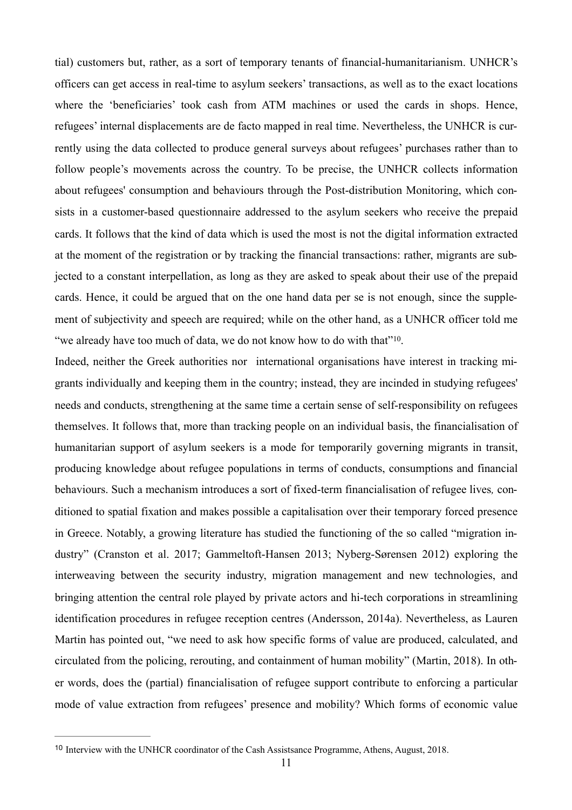tial) customers but, rather, as a sort of temporary tenants of financial-humanitarianism. UNHCR's officers can get access in real-time to asylum seekers' transactions, as well as to the exact locations where the 'beneficiaries' took cash from ATM machines or used the cards in shops. Hence, refugees' internal displacements are de facto mapped in real time. Nevertheless, the UNHCR is currently using the data collected to produce general surveys about refugees' purchases rather than to follow people's movements across the country. To be precise, the UNHCR collects information about refugees' consumption and behaviours through the Post-distribution Monitoring, which consists in a customer-based questionnaire addressed to the asylum seekers who receive the prepaid cards. It follows that the kind of data which is used the most is not the digital information extracted at the moment of the registration or by tracking the financial transactions: rather, migrants are subjected to a constant interpellation, as long as they are asked to speak about their use of the prepaid cards. Hence, it could be argued that on the one hand data per se is not enough, since the supplement of subjectivity and speech are required; while on the other hand, as a UNHCR officer told me "we already have too much of data, we do not know how to do with that"<sup>10</sup>[.](#page-11-0)

<span id="page-11-1"></span>Indeed, neither the Greek authorities nor international organisations have interest in tracking migrants individually and keeping them in the country; instead, they are incinded in studying refugees' needs and conducts, strengthening at the same time a certain sense of self-responsibility on refugees themselves. It follows that, more than tracking people on an individual basis, the financialisation of humanitarian support of asylum seekers is a mode for temporarily governing migrants in transit, producing knowledge about refugee populations in terms of conducts, consumptions and financial behaviours. Such a mechanism introduces a sort of fixed-term financialisation of refugee lives*,* conditioned to spatial fixation and makes possible a capitalisation over their temporary forced presence in Greece. Notably, a growing literature has studied the functioning of the so called "migration industry" (Cranston et al. 2017; Gammeltoft-Hansen 2013; Nyberg-Sørensen 2012) exploring the interweaving between the security industry, migration management and new technologies, and bringing attention the central role played by private actors and hi-tech corporations in streamlining identification procedures in refugee reception centres (Andersson, 2014a). Nevertheless, as Lauren Martin has pointed out, "we need to ask how specific forms of value are produced, calculated, and circulated from the policing, rerouting, and containment of human mobility" (Martin, 2018). In other words, does the (partial) financialisation of refugee support contribute to enforcing a particular mode of value extraction from refugees' presence and mobility? Which forms of economic value

<span id="page-11-0"></span><sup>&</sup>lt;sup>[10](#page-11-1)</sup> Interview with the UNHCR coordinator of the Cash Assistsance Programme, Athens, August, 2018.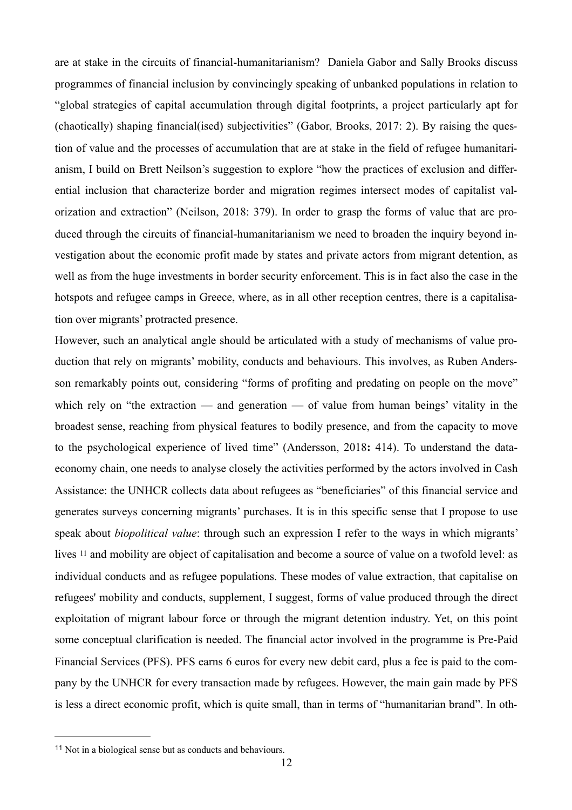are at stake in the circuits of financial-humanitarianism? Daniela Gabor and Sally Brooks discuss programmes of financial inclusion by convincingly speaking of unbanked populations in relation to "global strategies of capital accumulation through digital footprints, a project particularly apt for (chaotically) shaping financial(ised) subjectivities" (Gabor, Brooks, 2017: 2). By raising the question of value and the processes of accumulation that are at stake in the field of refugee humanitarianism, I build on Brett Neilson's suggestion to explore "how the practices of exclusion and differential inclusion that characterize border and migration regimes intersect modes of capitalist valorization and extraction" (Neilson, 2018: 379). In order to grasp the forms of value that are produced through the circuits of financial-humanitarianism we need to broaden the inquiry beyond investigation about the economic profit made by states and private actors from migrant detention, as well as from the huge investments in border security enforcement. This is in fact also the case in the hotspots and refugee camps in Greece, where, as in all other reception centres, there is a capitalisation over migrants' protracted presence.

However, such an analytical angle should be articulated with a study of mechanisms of value production that rely on migrants' mobility, conducts and behaviours. This involves, as Ruben Andersson remarkably points out, considering "forms of profiting and predating on people on the move" which rely on "the extraction — and generation — of value from human beings' vitality in the broadest sense, reaching from physical features to bodily presence, and from the capacity to move to the psychological experience of lived time" (Andersson, 2018**:** 414). To understand the dataeconomy chain, one needs to analyse closely the activities performed by the actors involved in Cash Assistance: the UNHCR collects data about refugees as "beneficiaries" of this financial service and generates surveys concerning migrants' purchases. It is in this specific sense that I propose to use speak about *biopolitical value*: through such an expression I refer to the ways in which migrants' lives <sup>11</sup> and mobility are object of capitalisation and become a source of value on a twofold level: as individual conducts and as refugee populations. These modes of value extraction, that capitalise on refugees' mobility and conducts, supplement, I suggest, forms of value produced through the direct exploitation of migrant labour force or through the migrant detention industry. Yet, on this point some conceptual clarification is needed. The financial actor involved in the programme is Pre-Paid Financial Services (PFS). PFS earns 6 euros for every new debit card, plus a fee is paid to the company by the UNHCR for every transaction made by refugees. However, the main gain made by PFS is less a direct economic profit, which is quite small, than in terms of "humanitarian brand". In oth-

<span id="page-12-1"></span><span id="page-12-0"></span> $11$  Not in a biological sense but as conducts and behaviours.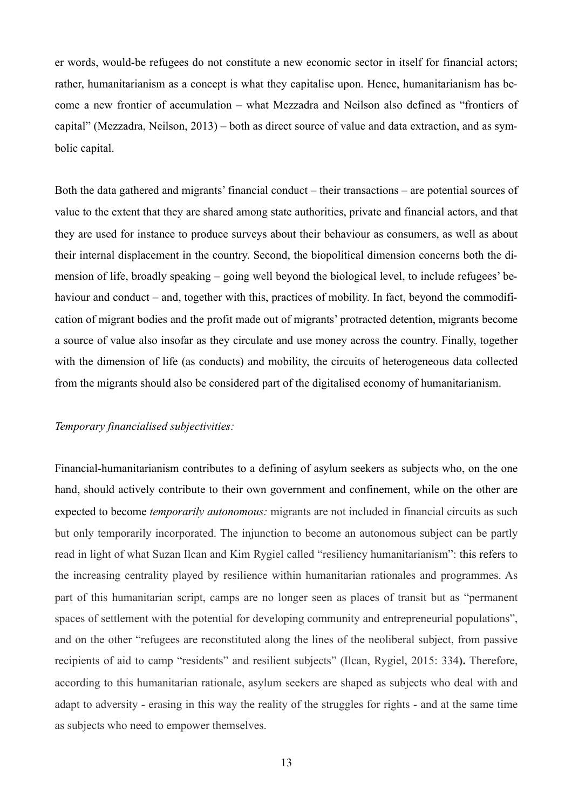er words, would-be refugees do not constitute a new economic sector in itself for financial actors; rather, humanitarianism as a concept is what they capitalise upon. Hence, humanitarianism has become a new frontier of accumulation – what Mezzadra and Neilson also defined as "frontiers of capital" (Mezzadra, Neilson, 2013) – both as direct source of value and data extraction, and as symbolic capital.

Both the data gathered and migrants' financial conduct – their transactions – are potential sources of value to the extent that they are shared among state authorities, private and financial actors, and that they are used for instance to produce surveys about their behaviour as consumers, as well as about their internal displacement in the country. Second, the biopolitical dimension concerns both the dimension of life, broadly speaking – going well beyond the biological level, to include refugees' behaviour and conduct – and, together with this, practices of mobility. In fact, beyond the commodification of migrant bodies and the profit made out of migrants' protracted detention, migrants become a source of value also insofar as they circulate and use money across the country. Finally, together with the dimension of life (as conducts) and mobility, the circuits of heterogeneous data collected from the migrants should also be considered part of the digitalised economy of humanitarianism.

## *Temporary financialised subjectivities:*

Financial-humanitarianism contributes to a defining of asylum seekers as subjects who, on the one hand, should actively contribute to their own government and confinement, while on the other are expected to become *temporarily autonomous:* migrants are not included in financial circuits as such but only temporarily incorporated. The injunction to become an autonomous subject can be partly read in light of what Suzan Ilcan and Kim Rygiel called "resiliency humanitarianism": this refers to the increasing centrality played by resilience within humanitarian rationales and programmes. As part of this humanitarian script, camps are no longer seen as places of transit but as "permanent spaces of settlement with the potential for developing community and entrepreneurial populations", and on the other "refugees are reconstituted along the lines of the neoliberal subject, from passive recipients of aid to camp "residents" and resilient subjects" (Ilcan, Rygiel, 2015: 334**).** Therefore, according to this humanitarian rationale, asylum seekers are shaped as subjects who deal with and adapt to adversity - erasing in this way the reality of the struggles for rights - and at the same time as subjects who need to empower themselves.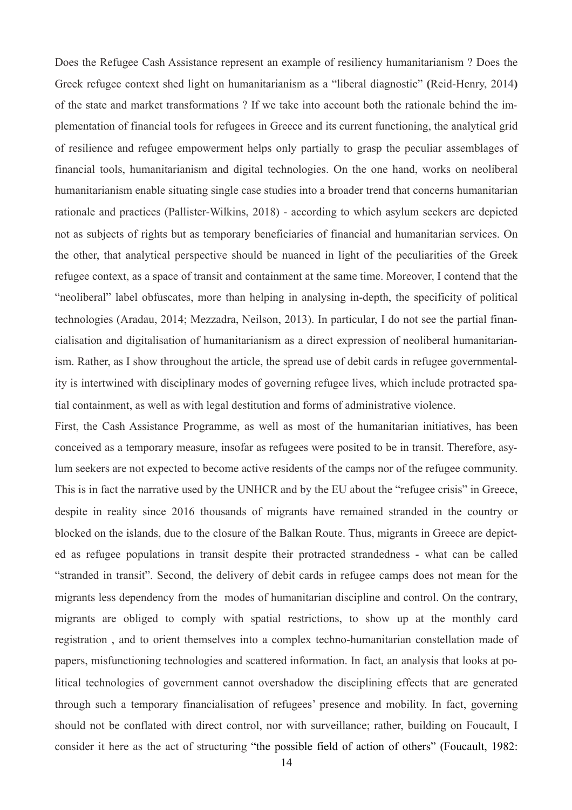Does the Refugee Cash Assistance represent an example of resiliency humanitarianism ? Does the Greek refugee context shed light on humanitarianism as a "liberal diagnostic" **(**Reid-Henry, 2014**)** of the state and market transformations ? If we take into account both the rationale behind the implementation of financial tools for refugees in Greece and its current functioning, the analytical grid of resilience and refugee empowerment helps only partially to grasp the peculiar assemblages of financial tools, humanitarianism and digital technologies. On the one hand, works on neoliberal humanitarianism enable situating single case studies into a broader trend that concerns humanitarian rationale and practices (Pallister-Wilkins, 2018) - according to which asylum seekers are depicted not as subjects of rights but as temporary beneficiaries of financial and humanitarian services. On the other, that analytical perspective should be nuanced in light of the peculiarities of the Greek refugee context, as a space of transit and containment at the same time. Moreover, I contend that the "neoliberal" label obfuscates, more than helping in analysing in-depth, the specificity of political technologies (Aradau, 2014; Mezzadra, Neilson, 2013). In particular, I do not see the partial financialisation and digitalisation of humanitarianism as a direct expression of neoliberal humanitarianism. Rather, as I show throughout the article, the spread use of debit cards in refugee governmentality is intertwined with disciplinary modes of governing refugee lives, which include protracted spatial containment, as well as with legal destitution and forms of administrative violence.

First, the Cash Assistance Programme, as well as most of the humanitarian initiatives, has been conceived as a temporary measure, insofar as refugees were posited to be in transit. Therefore, asylum seekers are not expected to become active residents of the camps nor of the refugee community. This is in fact the narrative used by the UNHCR and by the EU about the "refugee crisis" in Greece, despite in reality since 2016 thousands of migrants have remained stranded in the country or blocked on the islands, due to the closure of the Balkan Route. Thus, migrants in Greece are depicted as refugee populations in transit despite their protracted strandedness - what can be called "stranded in transit". Second, the delivery of debit cards in refugee camps does not mean for the migrants less dependency from the modes of humanitarian discipline and control. On the contrary, migrants are obliged to comply with spatial restrictions, to show up at the monthly card registration , and to orient themselves into a complex techno-humanitarian constellation made of papers, misfunctioning technologies and scattered information. In fact, an analysis that looks at political technologies of government cannot overshadow the disciplining effects that are generated through such a temporary financialisation of refugees' presence and mobility. In fact, governing should not be conflated with direct control, nor with surveillance; rather, building on Foucault, I consider it here as the act of structuring "the possible field of action of others" (Foucault, 1982: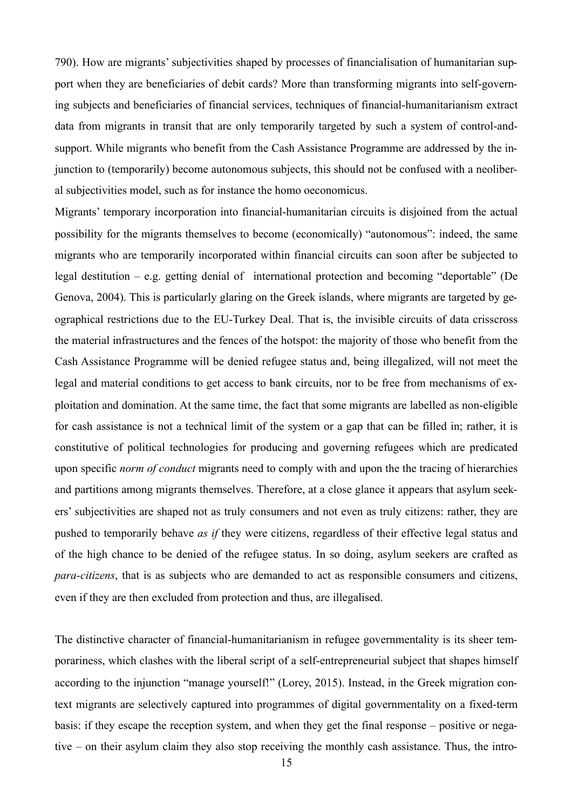790). How are migrants' subjectivities shaped by processes of financialisation of humanitarian support when they are beneficiaries of debit cards? More than transforming migrants into self-governing subjects and beneficiaries of financial services, techniques of financial-humanitarianism extract data from migrants in transit that are only temporarily targeted by such a system of control-andsupport. While migrants who benefit from the Cash Assistance Programme are addressed by the injunction to (temporarily) become autonomous subjects, this should not be confused with a neoliberal subjectivities model, such as for instance the homo oeconomicus.

Migrants' temporary incorporation into financial-humanitarian circuits is disjoined from the actual possibility for the migrants themselves to become (economically) "autonomous": indeed, the same migrants who are temporarily incorporated within financial circuits can soon after be subjected to legal destitution – e.g. getting denial of international protection and becoming "deportable" (De Genova, 2004). This is particularly glaring on the Greek islands, where migrants are targeted by geographical restrictions due to the EU-Turkey Deal. That is, the invisible circuits of data crisscross the material infrastructures and the fences of the hotspot: the majority of those who benefit from the Cash Assistance Programme will be denied refugee status and, being illegalized, will not meet the legal and material conditions to get access to bank circuits, nor to be free from mechanisms of exploitation and domination. At the same time, the fact that some migrants are labelled as non-eligible for cash assistance is not a technical limit of the system or a gap that can be filled in; rather, it is constitutive of political technologies for producing and governing refugees which are predicated upon specific *norm of conduct* migrants need to comply with and upon the the tracing of hierarchies and partitions among migrants themselves. Therefore, at a close glance it appears that asylum seekers' subjectivities are shaped not as truly consumers and not even as truly citizens: rather, they are pushed to temporarily behave *as if* they were citizens, regardless of their effective legal status and of the high chance to be denied of the refugee status. In so doing, asylum seekers are crafted as *para-citizens*, that is as subjects who are demanded to act as responsible consumers and citizens, even if they are then excluded from protection and thus, are illegalised.

The distinctive character of financial-humanitarianism in refugee governmentality is its sheer temporariness, which clashes with the liberal script of a self-entrepreneurial subject that shapes himself according to the injunction "manage yourself!" (Lorey, 2015). Instead, in the Greek migration context migrants are selectively captured into programmes of digital governmentality on a fixed-term basis: if they escape the reception system, and when they get the final response – positive or negative – on their asylum claim they also stop receiving the monthly cash assistance. Thus, the intro-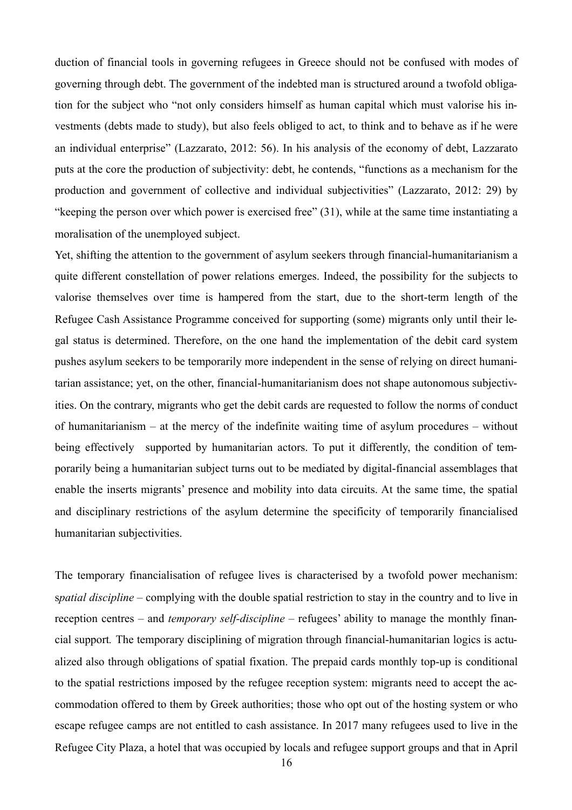duction of financial tools in governing refugees in Greece should not be confused with modes of governing through debt. The government of the indebted man is structured around a twofold obligation for the subject who "not only considers himself as human capital which must valorise his investments (debts made to study), but also feels obliged to act, to think and to behave as if he were an individual enterprise" (Lazzarato, 2012: 56). In his analysis of the economy of debt, Lazzarato puts at the core the production of subjectivity: debt, he contends, "functions as a mechanism for the production and government of collective and individual subjectivities" (Lazzarato, 2012: 29) by "keeping the person over which power is exercised free" (31), while at the same time instantiating a moralisation of the unemployed subject.

Yet, shifting the attention to the government of asylum seekers through financial-humanitarianism a quite different constellation of power relations emerges. Indeed, the possibility for the subjects to valorise themselves over time is hampered from the start, due to the short-term length of the Refugee Cash Assistance Programme conceived for supporting (some) migrants only until their legal status is determined. Therefore, on the one hand the implementation of the debit card system pushes asylum seekers to be temporarily more independent in the sense of relying on direct humanitarian assistance; yet, on the other, financial-humanitarianism does not shape autonomous subjectivities. On the contrary, migrants who get the debit cards are requested to follow the norms of conduct of humanitarianism – at the mercy of the indefinite waiting time of asylum procedures – without being effectively supported by humanitarian actors. To put it differently, the condition of temporarily being a humanitarian subject turns out to be mediated by digital-financial assemblages that enable the inserts migrants' presence and mobility into data circuits. At the same time, the spatial and disciplinary restrictions of the asylum determine the specificity of temporarily financialised humanitarian subjectivities.

The temporary financialisation of refugee lives is characterised by a twofold power mechanism: s*patial discipline –* complying with the double spatial restriction to stay in the country and to live in reception centres *–* and *temporary self-discipline –* refugees' ability to manage the monthly financial support*.* The temporary disciplining of migration through financial-humanitarian logics is actualized also through obligations of spatial fixation. The prepaid cards monthly top-up is conditional to the spatial restrictions imposed by the refugee reception system: migrants need to accept the accommodation offered to them by Greek authorities; those who opt out of the hosting system or who escape refugee camps are not entitled to cash assistance. In 2017 many refugees used to live in the Refugee City Plaza, a hotel that was occupied by locals and refugee support groups and that in April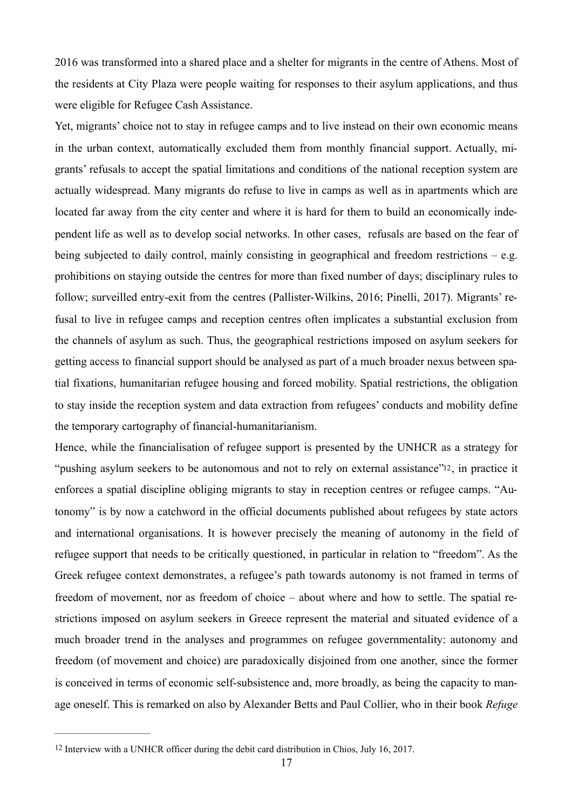2016 was transformed into a shared place and a shelter for migrants in the centre of Athens. Most of the residents at City Plaza were people waiting for responses to their asylum applications, and thus were eligible for Refugee Cash Assistance.

Yet, migrants' choice not to stay in refugee camps and to live instead on their own economic means in the urban context, automatically excluded them from monthly financial support. Actually, migrants' refusals to accept the spatial limitations and conditions of the national reception system are actually widespread. Many migrants do refuse to live in camps as well as in apartments which are located far away from the city center and where it is hard for them to build an economically independent life as well as to develop social networks. In other cases, refusals are based on the fear of being subjected to daily control, mainly consisting in geographical and freedom restrictions – e.g. prohibitions on staying outside the centres for more than fixed number of days; disciplinary rules to follow; surveilled entry-exit from the centres (Pallister-Wilkins, 2016; Pinelli, 2017). Migrants' refusal to live in refugee camps and reception centres often implicates a substantial exclusion from the channels of asylum as such. Thus, the geographical restrictions imposed on asylum seekers for getting access to financial support should be analysed as part of a much broader nexus between spatial fixations, humanitarian refugee housing and forced mobility. Spatial restrictions, the obligation to stay inside the reception system and data extraction from refugees' conducts and mobility define the temporary cartography of financial-humanitarianism.

<span id="page-17-1"></span>Hence, while the financialisation of refugee support is presented by the UNHCR as a strategy for "pushing asylum seekers to be autonomous and not to rely on external assistance["12](#page-17-0), in practice it enforces a spatial discipline obliging migrants to stay in reception centres or refugee camps. "Autonomy" is by now a catchword in the official documents published about refugees by state actors and international organisations. It is however precisely the meaning of autonomy in the field of refugee support that needs to be critically questioned, in particular in relation to "freedom". As the Greek refugee context demonstrates, a refugee's path towards autonomy is not framed in terms of freedom of movement, nor as freedom of choice – about where and how to settle. The spatial restrictions imposed on asylum seekers in Greece represent the material and situated evidence of a much broader trend in the analyses and programmes on refugee governmentality: autonomy and freedom (of movement and choice) are paradoxically disjoined from one another, since the former is conceived in terms of economic self-subsistence and, more broadly, as being the capacity to manage oneself. This is remarked on also by Alexander Betts and Paul Collier, who in their book *Refuge* 

<span id="page-17-0"></span>[<sup>12</sup>](#page-17-1) Interview with a UNHCR officer during the debit card distribution in Chios, July 16, 2017.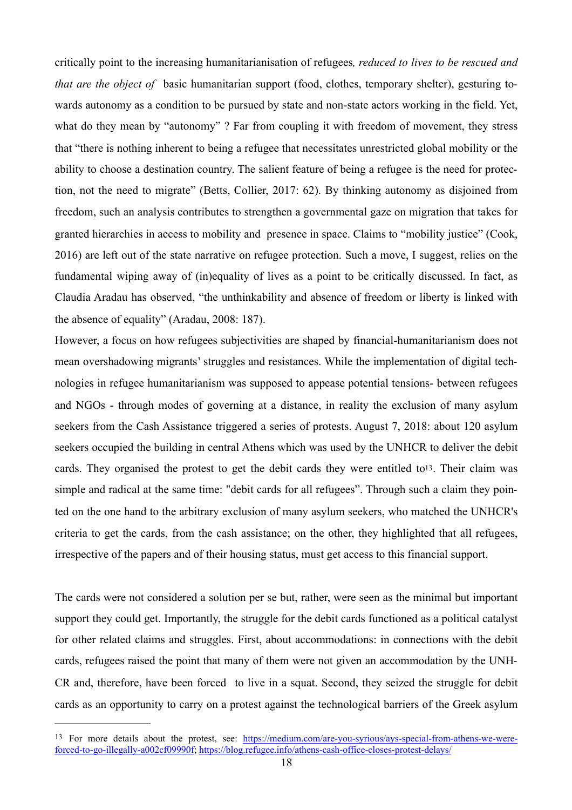critically point to the increasing humanitarianisation of refugees*, reduced to lives to be rescued and that are the object of* basic humanitarian support (food, clothes, temporary shelter), gesturing towards autonomy as a condition to be pursued by state and non-state actors working in the field. Yet, what do they mean by "autonomy" ? Far from coupling it with freedom of movement, they stress that "there is nothing inherent to being a refugee that necessitates unrestricted global mobility or the ability to choose a destination country. The salient feature of being a refugee is the need for protection, not the need to migrate" (Betts, Collier, 2017: 62). By thinking autonomy as disjoined from freedom, such an analysis contributes to strengthen a governmental gaze on migration that takes for granted hierarchies in access to mobility and presence in space. Claims to "mobility justice" (Cook, 2016) are left out of the state narrative on refugee protection. Such a move, I suggest, relies on the fundamental wiping away of (in)equality of lives as a point to be critically discussed. In fact, as Claudia Aradau has observed, "the unthinkability and absence of freedom or liberty is linked with the absence of equality" (Aradau, 2008: 187).

<span id="page-18-1"></span>However, a focus on how refugees subjectivities are shaped by financial-humanitarianism does not mean overshadowing migrants' struggles and resistances. While the implementation of digital technologies in refugee humanitarianism was supposed to appease potential tensions- between refugees and NGOs - through modes of governing at a distance, in reality the exclusion of many asylum seekers from the Cash Assistance triggered a series of protests. August 7, 2018: about 120 asylum seekers occupied the building in central Athens which was used by the UNHCR to deliver the debit cards. They organised the protest to get the debit cards they were entitled to<sup>13</sup>. Their claim was simple and radical at the same time: "debit cards for all refugees". Through such a claim they pointed on the one hand to the arbitrary exclusion of many asylum seekers, who matched the UNHCR's criteria to get the cards, from the cash assistance; on the other, they highlighted that all refugees, irrespective of the papers and of their housing status, must get access to this financial support.

The cards were not considered a solution per se but, rather, were seen as the minimal but important support they could get. Importantly, the struggle for the debit cards functioned as a political catalyst for other related claims and struggles. First, about accommodations: in connections with the debit cards, refugees raised the point that many of them were not given an accommodation by the UNH-CR and, therefore, have been forced to live in a squat. Second, they seized the struggle for debit cards as an opportunity to carry on a protest against the technological barriers of the Greek asylum

<span id="page-18-0"></span>[<sup>13</sup>](#page-18-1) For more details about the protest, see: [https://medium.com/are-you-syrious/ays-special-from-athens-we-were](https://medium.com/are-you-syrious/ays-special-from-athens-we-were-forced-to-go-illegally-a002cf09990f)[forced-to-go-illegally-a002cf09990f;](https://medium.com/are-you-syrious/ays-special-from-athens-we-were-forced-to-go-illegally-a002cf09990f)<https://blog.refugee.info/athens-cash-office-closes-protest-delays/>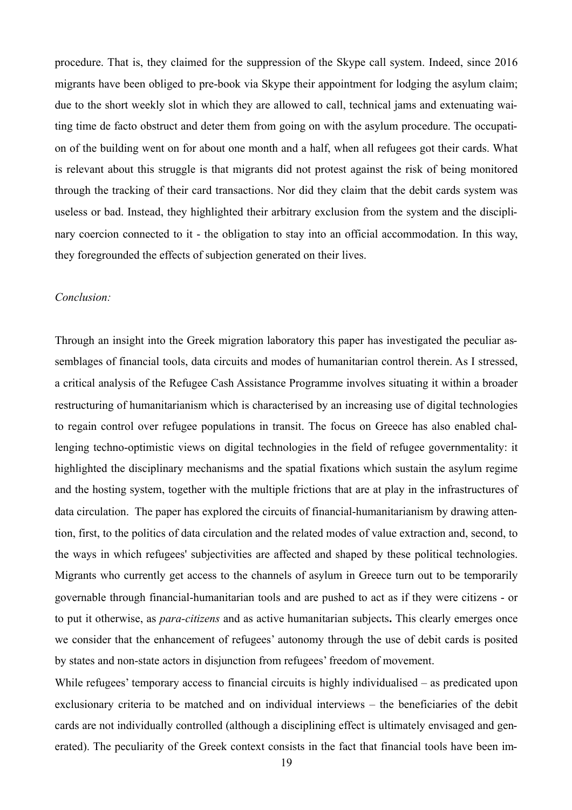procedure. That is, they claimed for the suppression of the Skype call system. Indeed, since 2016 migrants have been obliged to pre-book via Skype their appointment for lodging the asylum claim; due to the short weekly slot in which they are allowed to call, technical jams and extenuating waiting time de facto obstruct and deter them from going on with the asylum procedure. The occupation of the building went on for about one month and a half, when all refugees got their cards. What is relevant about this struggle is that migrants did not protest against the risk of being monitored through the tracking of their card transactions. Nor did they claim that the debit cards system was useless or bad. Instead, they highlighted their arbitrary exclusion from the system and the disciplinary coercion connected to it - the obligation to stay into an official accommodation. In this way, they foregrounded the effects of subjection generated on their lives.

### *Conclusion:*

Through an insight into the Greek migration laboratory this paper has investigated the peculiar assemblages of financial tools, data circuits and modes of humanitarian control therein. As I stressed, a critical analysis of the Refugee Cash Assistance Programme involves situating it within a broader restructuring of humanitarianism which is characterised by an increasing use of digital technologies to regain control over refugee populations in transit. The focus on Greece has also enabled challenging techno-optimistic views on digital technologies in the field of refugee governmentality: it highlighted the disciplinary mechanisms and the spatial fixations which sustain the asylum regime and the hosting system, together with the multiple frictions that are at play in the infrastructures of data circulation. The paper has explored the circuits of financial-humanitarianism by drawing attention, first, to the politics of data circulation and the related modes of value extraction and, second, to the ways in which refugees' subjectivities are affected and shaped by these political technologies. Migrants who currently get access to the channels of asylum in Greece turn out to be temporarily governable through financial-humanitarian tools and are pushed to act as if they were citizens - or to put it otherwise, as *para-citizens* and as active humanitarian subjects**.** This clearly emerges once we consider that the enhancement of refugees' autonomy through the use of debit cards is posited by states and non-state actors in disjunction from refugees' freedom of movement.

While refugees' temporary access to financial circuits is highly individualised – as predicated upon exclusionary criteria to be matched and on individual interviews – the beneficiaries of the debit cards are not individually controlled (although a disciplining effect is ultimately envisaged and generated). The peculiarity of the Greek context consists in the fact that financial tools have been im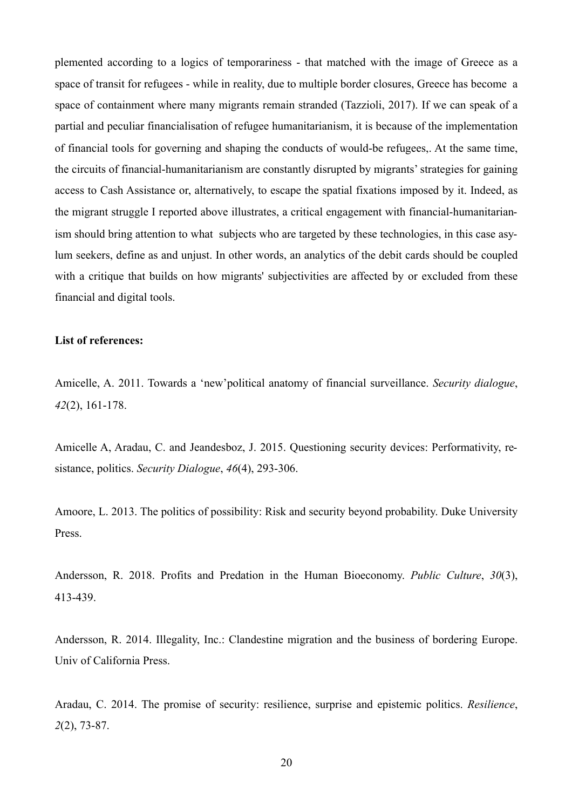plemented according to a logics of temporariness - that matched with the image of Greece as a space of transit for refugees - while in reality, due to multiple border closures, Greece has become a space of containment where many migrants remain stranded (Tazzioli, 2017). If we can speak of a partial and peculiar financialisation of refugee humanitarianism, it is because of the implementation of financial tools for governing and shaping the conducts of would-be refugees,. At the same time, the circuits of financial-humanitarianism are constantly disrupted by migrants' strategies for gaining access to Cash Assistance or, alternatively, to escape the spatial fixations imposed by it. Indeed, as the migrant struggle I reported above illustrates, a critical engagement with financial-humanitarianism should bring attention to what subjects who are targeted by these technologies, in this case asylum seekers, define as and unjust. In other words, an analytics of the debit cards should be coupled with a critique that builds on how migrants' subjectivities are affected by or excluded from these financial and digital tools.

#### **List of references:**

Amicelle, A. 2011. Towards a 'new'political anatomy of financial surveillance. *Security dialogue*, *42*(2), 161-178.

Amicelle A, Aradau, C. and Jeandesboz, J. 2015. Questioning security devices: Performativity, resistance, politics. *Security Dialogue*, *46*(4), 293-306.

Amoore, L. 2013. The politics of possibility: Risk and security beyond probability. Duke University Press.

Andersson, R. 2018. Profits and Predation in the Human Bioeconomy. *Public Culture*, *30*(3), 413-439.

Andersson, R. 2014. Illegality, Inc.: Clandestine migration and the business of bordering Europe. Univ of California Press.

Aradau, C. 2014. The promise of security: resilience, surprise and epistemic politics. *Resilience*, *2*(2), 73-87.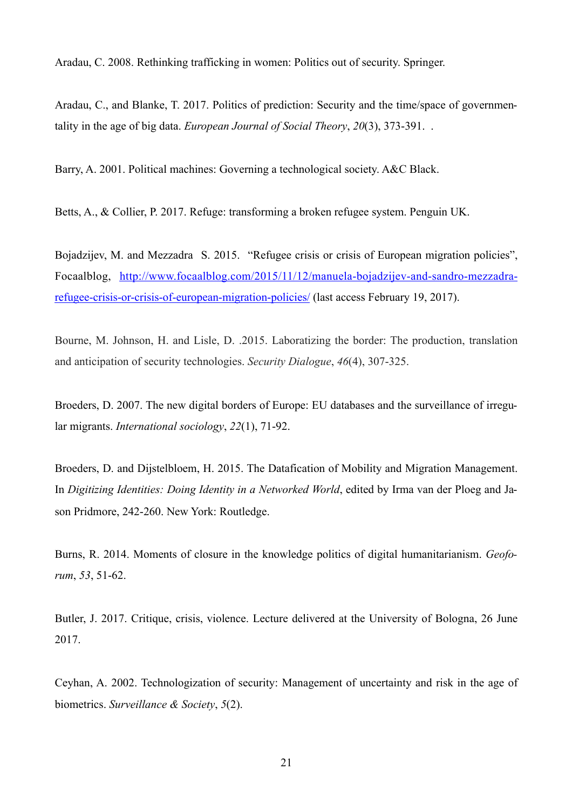Aradau, C. 2008. Rethinking trafficking in women: Politics out of security. Springer.

Aradau, C., and Blanke, T. 2017. Politics of prediction: Security and the time/space of governmentality in the age of big data. *European Journal of Social Theory*, *20*(3), 373-391. .

Barry, A. 2001. Political machines: Governing a technological society. A&C Black.

Betts, A., & Collier, P. 2017. Refuge: transforming a broken refugee system. Penguin UK.

Bojadzijev, M. and Mezzadra S. 2015. "Refugee crisis or crisis of European migration policies", Focaalblog, [http://www.focaalblog.com/2015/11/12/manuela-bojadzijev-and-sandro-mezzadra](http://www.focaalblog.com/2015/11/12/manuela-bojadzijev-and-sandro-mezzadra-refugee-crisis-or-crisis-of-european-migration-policies/)[refugee-crisis-or-crisis-of-european-migration-policies/ \(last access February 19, 2017\).](http://www.focaalblog.com/2015/11/12/manuela-bojadzijev-and-sandro-mezzadra-refugee-crisis-or-crisis-of-european-migration-policies/) 

Bourne, M. Johnson, H. and Lisle, D. .2015. Laboratizing the border: The production, translation and anticipation of security technologies. *Security Dialogue*, *46*(4), 307-325.

Broeders, D. 2007. The new digital borders of Europe: EU databases and the surveillance of irregular migrants. *International sociology*, *22*(1), 71-92.

Broeders, D. and Dijstelbloem, H. 2015. The Datafication of Mobility and Migration Management. In *Digitizing Identities: Doing Identity in a Networked World*, edited by Irma van der Ploeg and Jason Pridmore, 242-260. New York: Routledge.

Burns, R. 2014. Moments of closure in the knowledge politics of digital humanitarianism. *Geoforum*, *53*, 51-62.

Butler, J. 2017. Critique, crisis, violence. Lecture delivered at the University of Bologna, 26 June 2017.

Ceyhan, A. 2002. Technologization of security: Management of uncertainty and risk in the age of biometrics. *Surveillance & Society*, *5*(2).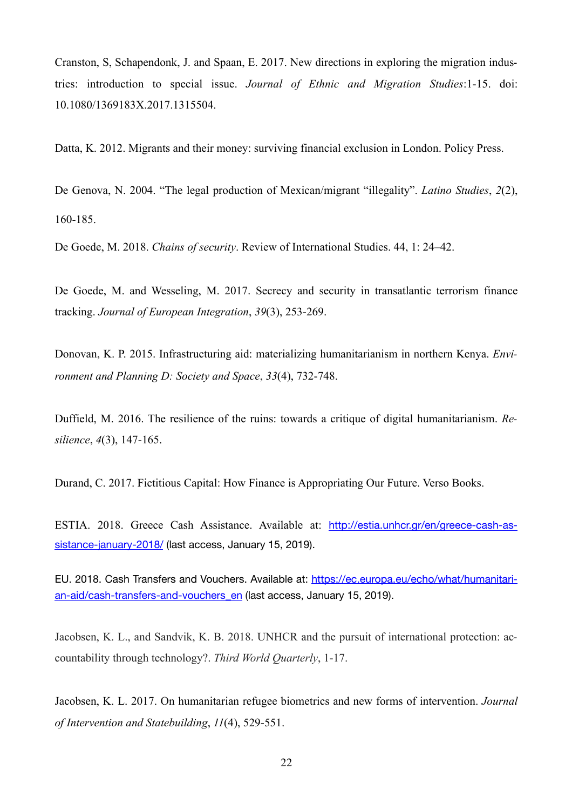Cranston, S, Schapendonk, J. and Spaan, E. 2017. New directions in exploring the migration industries: introduction to special issue. *Journal of Ethnic and Migration Studies*:1-15. doi: 10.1080/1369183X.2017.1315504.

Datta, K. 2012. Migrants and their money: surviving financial exclusion in London. Policy Press.

De Genova, N. 2004. "The legal production of Mexican/migrant "illegality". *Latino Studies*, *2*(2), 160-185.

De Goede, M. 2018. *Chains of security*. Review of International Studies. 44, 1: 24–42.

De Goede, M. and Wesseling, M. 2017. Secrecy and security in transatlantic terrorism finance tracking. *Journal of European Integration*, *39*(3), 253-269.

Donovan, K. P. 2015. Infrastructuring aid: materializing humanitarianism in northern Kenya. *Environment and Planning D: Society and Space*, *33*(4), 732-748.

Duffield, M. 2016. The resilience of the ruins: towards a critique of digital humanitarianism. *Resilience*, *4*(3), 147-165.

Durand, C. 2017. Fictitious Capital: How Finance is Appropriating Our Future. Verso Books.

ESTIA. 2018. Greece Cash Assistance. Available at: [http://estia.unhcr.gr/en/greece-cash-as](http://estia.unhcr.gr/en/greece-cash-assistance-january-2018/)[sistance-january-2018/](http://estia.unhcr.gr/en/greece-cash-assistance-january-2018/) (last access, January 15, 2019).

EU. 2018. Cash Transfers and Vouchers. Available at: [https://ec.europa.eu/echo/what/humanitari](https://ec.europa.eu/echo/what/humanitarian-aid/cash-transfers-and-vouchers_en)[an-aid/cash-transfers-and-vouchers\\_en](https://ec.europa.eu/echo/what/humanitarian-aid/cash-transfers-and-vouchers_en) (last access, January 15, 2019).

Jacobsen, K. L., and Sandvik, K. B. 2018. UNHCR and the pursuit of international protection: accountability through technology?. *Third World Quarterly*, 1-17.

Jacobsen, K. L. 2017. On humanitarian refugee biometrics and new forms of intervention. *Journal of Intervention and Statebuilding*, *11*(4), 529-551.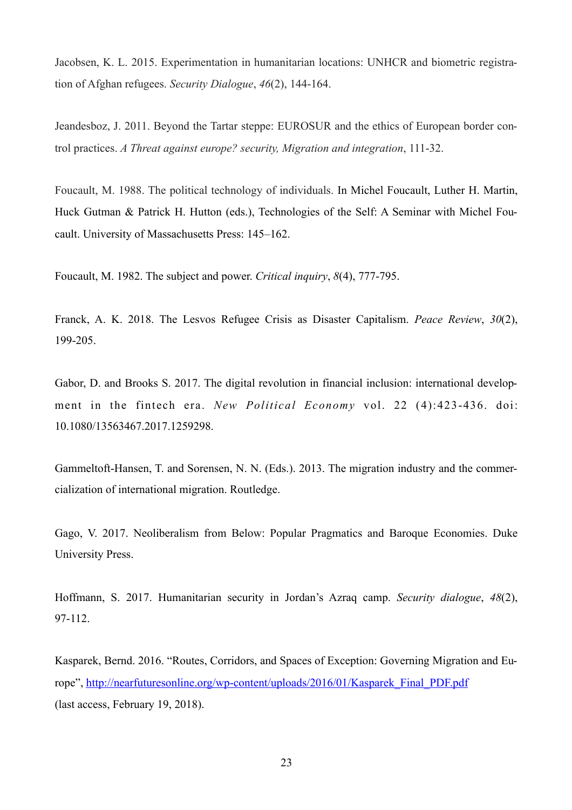Jacobsen, K. L. 2015. Experimentation in humanitarian locations: UNHCR and biometric registration of Afghan refugees. *Security Dialogue*, *46*(2), 144-164.

Jeandesboz, J. 2011. Beyond the Tartar steppe: EUROSUR and the ethics of European border control practices. *A Threat against europe? security, Migration and integration*, 111-32.

Foucault, M. 1988. The political technology of individuals. In Michel Foucault, Luther H. Martin, Huck Gutman & Patrick H. Hutton (eds.), Technologies of the Self: A Seminar with Michel Foucault. University of Massachusetts Press: 145–162.

Foucault, M. 1982. The subject and power. *Critical inquiry*, *8*(4), 777-795.

Franck, A. K. 2018. The Lesvos Refugee Crisis as Disaster Capitalism. *Peace Review*, *30*(2), 199-205.

Gabor, D. and Brooks S. 2017. The digital revolution in financial inclusion: international development in the fintech era. *New Political Economy* vol. 22 (4):423-436. doi: 10.1080/13563467.2017.1259298.

Gammeltoft-Hansen, T. and Sorensen, N. N. (Eds.). 2013. The migration industry and the commercialization of international migration. Routledge.

Gago, V. 2017. Neoliberalism from Below: Popular Pragmatics and Baroque Economies. Duke University Press.

Hoffmann, S. 2017. Humanitarian security in Jordan's Azraq camp. *Security dialogue*, *48*(2), 97-112.

Kasparek, Bernd. 2016. "Routes, Corridors, and Spaces of Exception: Governing Migration and Europe", [http://nearfuturesonline.org/wp-content/uploads/2016/01/Kasparek\\_Final\\_PDF.pdf](http://nearfuturesonline.org/wp-content/uploads/2016/01/Kasparek_Final_PDF.pdf) (last access, February  $19, 2018$ ).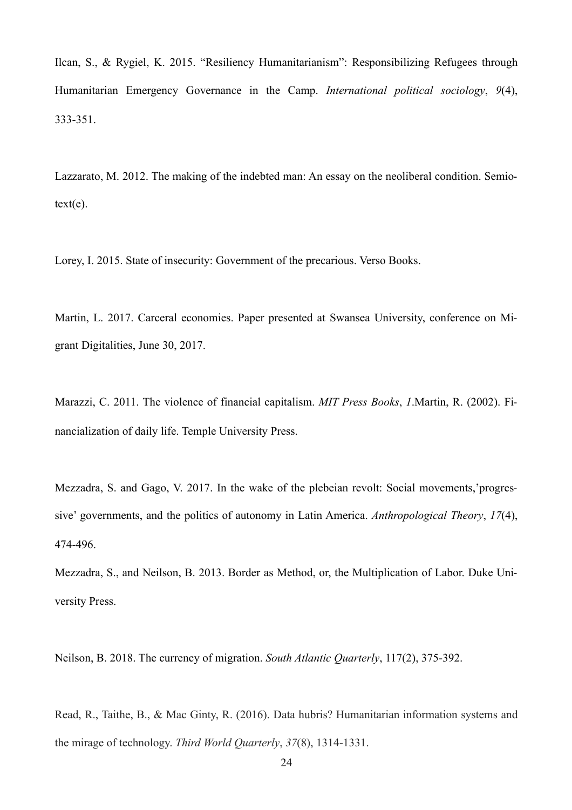Ilcan, S., & Rygiel, K. 2015. "Resiliency Humanitarianism": Responsibilizing Refugees through Humanitarian Emergency Governance in the Camp. *International political sociology*, *9*(4), 333-351.

Lazzarato, M. 2012. The making of the indebted man: An essay on the neoliberal condition. Semio $text(e).$ 

Lorey, I. 2015. State of insecurity: Government of the precarious. Verso Books.

Martin, L. 2017. Carceral economies. Paper presented at Swansea University, conference on Migrant Digitalities, June 30, 2017.

Marazzi, C. 2011. The violence of financial capitalism. *MIT Press Books*, *1*.Martin, R. (2002). Financialization of daily life. Temple University Press.

Mezzadra, S. and Gago, V. 2017. In the wake of the plebeian revolt: Social movements,'progressive' governments, and the politics of autonomy in Latin America. *Anthropological Theory*, *17*(4), 474-496.

Mezzadra, S., and Neilson, B. 2013. Border as Method, or, the Multiplication of Labor. Duke University Press.

Neilson, B. 2018. The currency of migration. *South Atlantic Quarterly*, 117(2), 375-392.

Read, R., Taithe, B., & Mac Ginty, R. (2016). Data hubris? Humanitarian information systems and the mirage of technology. *Third World Quarterly*, *37*(8), 1314-1331.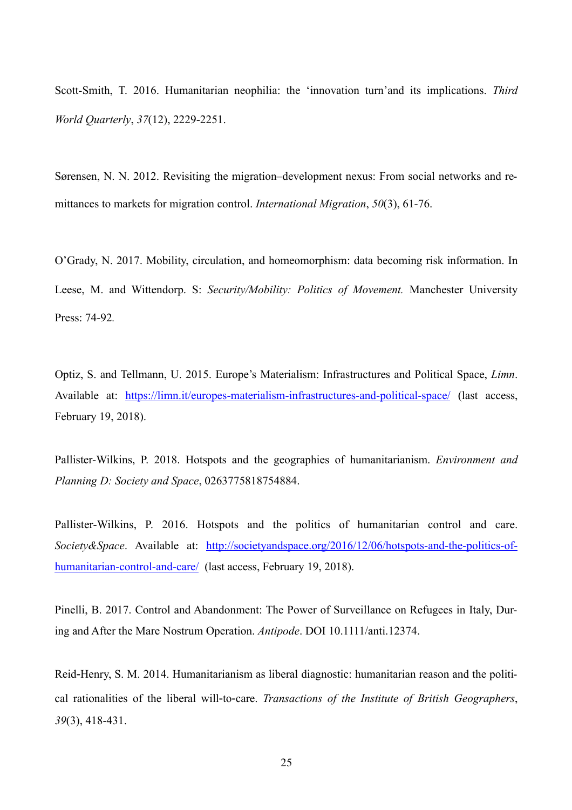Scott-Smith, T. 2016. Humanitarian neophilia: the 'innovation turn'and its implications. *Third World Quarterly*, *37*(12), 2229-2251.

Sørensen, N. N. 2012. Revisiting the migration–development nexus: From social networks and remittances to markets for migration control. *International Migration*, *50*(3), 61-76.

O'Grady, N. 2017. Mobility, circulation, and homeomorphism: data becoming risk information. In Leese, M. and Wittendorp. S: *Security/Mobility: Politics of Movement.* Manchester University Press: 74-92*.* 

Optiz, S. and Tellmann, U. 2015. Europe's Materialism: Infrastructures and Political Space, *Limn*. Available at: <https://limn.it/europes-materialism-infrastructures-and-political-space/> (last access, February 19, 2018).

Pallister-Wilkins, P. 2018. Hotspots and the geographies of humanitarianism. *Environment and Planning D: Society and Space*, 0263775818754884.

Pallister-Wilkins, P. 2016. Hotspots and the politics of humanitarian control and care. *Society&Space*. Available at: [http://societyandspace.org/2016/12/06/hotspots-and-the-politics-of](http://societyandspace.org/2016/12/06/hotspots-and-the-politics-of-humanitarian-control-and-care/)[humanitarian-control-and-care/](http://societyandspace.org/2016/12/06/hotspots-and-the-politics-of-humanitarian-control-and-care/) (last access, February 19, 2018).

Pinelli, B. 2017. Control and Abandonment: The Power of Surveillance on Refugees in Italy, During and After the Mare Nostrum Operation. *Antipode*. DOI 10.1111/anti.12374.

Reid‐Henry, S. M. 2014. Humanitarianism as liberal diagnostic: humanitarian reason and the political rationalities of the liberal will‐to‐care. *Transactions of the Institute of British Geographers*, *39*(3), 418-431.